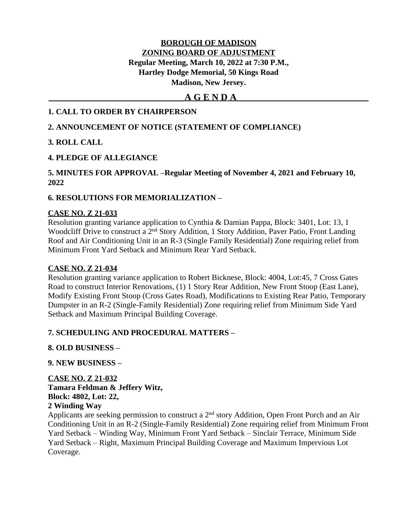#### **BOROUGH OF MADISON ZONING BOARD OF ADJUSTMENT Regular Meeting, March 10, 2022 at 7:30 P.M., Hartley Dodge Memorial, 50 Kings Road Madison, New Jersey.**

### **\_\_\_\_\_\_\_\_\_\_\_\_\_\_\_\_\_\_\_\_\_\_\_\_\_\_\_\_\_\_\_\_\_\_A G E N D A\_\_\_\_\_\_\_\_\_\_\_\_\_\_\_\_\_\_\_\_\_\_\_\_\_\_\_\_\_\_\_\_\_**

#### **1. CALL TO ORDER BY CHAIRPERSON**

#### **2. ANNOUNCEMENT OF NOTICE (STATEMENT OF COMPLIANCE)**

#### **3. ROLL CALL**

### **4. PLEDGE OF ALLEGIANCE**

#### **5. MINUTES FOR APPROVAL –Regular Meeting of November 4, 2021 and February 10, 2022**

#### **6. RESOLUTIONS FOR MEMORIALIZATION –**

#### **CASE NO. Z 21-033**

Resolution granting variance application to Cynthia & Damian Pappa, Block: 3401, Lot: 13, 1 Woodcliff Drive to construct a 2<sup>nd</sup> Story Addition, 1 Story Addition, Paver Patio, Front Landing Roof and Air Conditioning Unit in an R-3 (Single Family Residential) Zone requiring relief from Minimum Front Yard Setback and Minimum Rear Yard Setback.

#### **CASE NO. Z 21-034**

Resolution granting variance application to Robert Bicknese, Block: 4004, Lot:45, 7 Cross Gates Road to construct Interior Renovations, (1) 1 Story Rear Addition, New Front Stoop (East Lane), Modify Existing Front Stoop (Cross Gates Road), Modifications to Existing Rear Patio, Temporary Dumpster in an R-2 (Single-Family Residential) Zone requiring relief from Minimum Side Yard Setback and Maximum Principal Building Coverage.

#### **7. SCHEDULING AND PROCEDURAL MATTERS –**

#### **8. OLD BUSINESS –**

#### **9. NEW BUSINESS –**

**CASE NO. Z 21-032 Tamara Feldman & Jeffery Witz, Block: 4802, Lot: 22, 2 Winding Way**

Applicants are seeking permission to construct a 2nd story Addition, Open Front Porch and an Air Conditioning Unit in an R-2 (Single-Family Residential) Zone requiring relief from Minimum Front Yard Setback – Winding Way, Minimum Front Yard Setback – Sinclair Terrace, Minimum Side Yard Setback – Right, Maximum Principal Building Coverage and Maximum Impervious Lot Coverage.